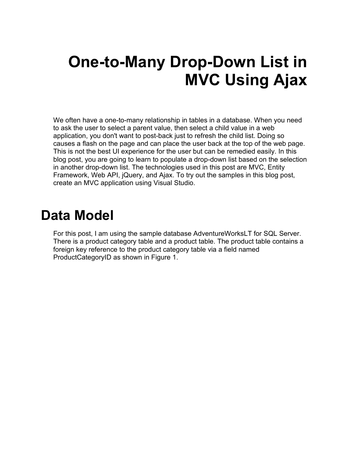# **One-to-Many Drop-Down List in MVC Using Ajax**

We often have a one-to-many relationship in tables in a database. When you need to ask the user to select a parent value, then select a child value in a web application, you don't want to post-back just to refresh the child list. Doing so causes a flash on the page and can place the user back at the top of the web page. This is not the best UI experience for the user but can be remedied easily. In this blog post, you are going to learn to populate a drop-down list based on the selection in another drop-down list. The technologies used in this post are MVC, Entity Framework, Web API, jQuery, and Ajax. To try out the samples in this blog post, create an MVC application using Visual Studio.

#### **Data Model**

For this post, I am using the sample database AdventureWorksLT for SQL Server. There is a product category table and a product table. The product table contains a foreign key reference to the product category table via a field named ProductCategoryID as shown in Figure 1.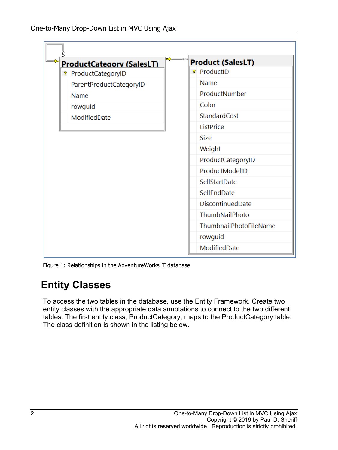

Figure 1: Relationships in the AdventureWorksLT database

#### **Entity Classes**

To access the two tables in the database, use the Entity Framework. Create two entity classes with the appropriate data annotations to connect to the two different tables. The first entity class, ProductCategory, maps to the ProductCategory table. The class definition is shown in the listing below.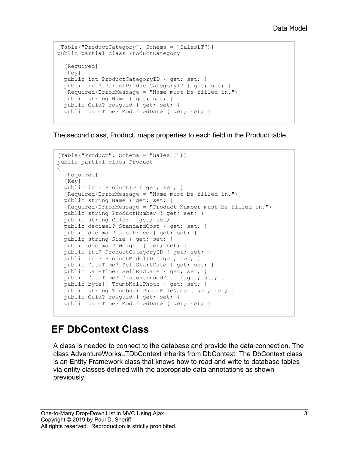```
[Table("ProductCategory", Schema = "SalesLT")]
public partial class ProductCategory
{
   [Required]
   [Key]
  public int ProductCategoryID { get; set; }
 public int? ParentProductCategoryID { get; set; }
   [Required(ErrorMessage = "Name must be filled in.")]
 public string Name { get; set; }
   public Guid? rowguid { get; set; }
 public DateTime? ModifiedDate { get; set; }
}
```
The second class, Product, maps properties to each field in the Product table.

```
[Table("Product", Schema = "SalesLT")]
public partial class Product
{ 
   [Required]
  [Key]
 public int? ProductID { get; set; }
   [Required(ErrorMessage = "Name must be filled in.")]
 public string Name { get; set; }
   [Required(ErrorMessage = "Product Number must be filled in.")]
   public string ProductNumber { get; set; }
   public string Color { get; set; }
  public decimal? StandardCost { get; set; }
 public decimal? ListPrice { get; set; }
  public string Size { get; set; }
 public decimal? Weight { get; set; }
   public int? ProductCategoryID { get; set; }
 public int? ProductModelID { get; set; }
 public DateTime? SellStartDate { get; set; }
 public DateTime? SellEndDate { get; set; }
  public DateTime? DiscontinuedDate { get; set; }
 public byte[] ThumbNailPhoto { get; set; }
 public string ThumbnailPhotoFileName { get; set; }
  public Guid? rowguid { get; set; }
 public DateTime? ModifiedDate { get; set; }
}
```
#### **EF DbContext Class**

A class is needed to connect to the database and provide the data connection. The class AdventureWorksLTDbContext inherits from DbContext. The DbContext class is an Entity Framework class that knows how to read and write to database tables via entity classes defined with the appropriate data annotations as shown previously.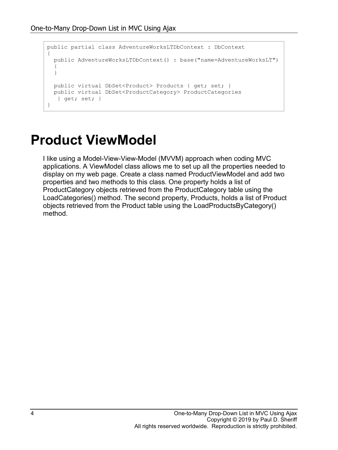```
public partial class AdventureWorksLTDbContext : DbContext
{
   public AdventureWorksLTDbContext() : base("name=AdventureWorksLT")
   {
   }
   public virtual DbSet<Product> Products { get; set; }
  public virtual DbSet<ProductCategory> ProductCategories
    { get; set; }
}
```
### **Product ViewModel**

I like using a Model-View-View-Model (MVVM) approach when coding MVC applications. A ViewModel class allows me to set up all the properties needed to display on my web page. Create a class named ProductViewModel and add two properties and two methods to this class. One property holds a list of ProductCategory objects retrieved from the ProductCategory table using the LoadCategories() method. The second property, Products, holds a list of Product objects retrieved from the Product table using the LoadProductsByCategory() method.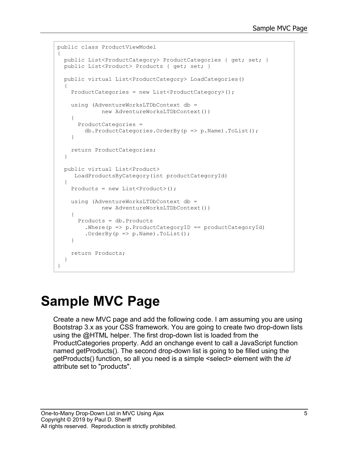```
public class ProductViewModel
{
  public List<ProductCategory> ProductCategories { get; set; }
  public List<Product> Products { get; set; }
  public virtual List<ProductCategory> LoadCategories()
   {
     ProductCategories = new List<ProductCategory>();
    using (AdventureWorksLTDbContext db =
              new AdventureWorksLTDbContext())
     {
       ProductCategories = 
         db.ProductCategories.OrderBy(p => p.Name).ToList();
     }
     return ProductCategories;
   }
   public virtual List<Product> 
     LoadProductsByCategory(int productCategoryId)
\{Products = new List<Product>();
     using (AdventureWorksLTDbContext db = 
              new AdventureWorksLTDbContext())
     {
       Products = db.Products
        .Where(p \Rightarrow p.ProductCategoryID == productCategoryId)
        .OrderBy(p \implies p.Name).ToList();
     }
     return Products;
   }
}
```
## **Sample MVC Page**

Create a new MVC page and add the following code. I am assuming you are using Bootstrap 3.x as your CSS framework. You are going to create two drop-down lists using the @HTML helper. The first drop-down list is loaded from the ProductCategories property. Add an onchange event to call a JavaScript function named getProducts(). The second drop-down list is going to be filled using the getProducts() function, so all you need is a simple <select> element with the *id* attribute set to "products".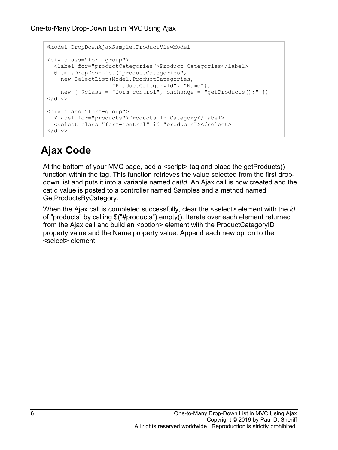```
@model DropDownAjaxSample.ProductViewModel
<div class="form-group">
   <label for="productCategories">Product Categories</label>
   @Html.DropDownList("productCategories",
    new SelectList(Model.ProductCategories, 
                     "ProductCategoryId", "Name"), 
   new { @class = "form-control", onchange = "getProducts();" })
\langle div\rangle<div class="form-group">
   <label for="products">Products In Category</label>
   <select class="form-control" id="products"></select>
\langle div>
```
#### **Ajax Code**

At the bottom of your MVC page, add a <script> tag and place the getProducts() function within the tag. This function retrieves the value selected from the first dropdown list and puts it into a variable named *catId*. An Ajax call is now created and the catId value is posted to a controller named Samples and a method named GetProductsByCategory.

When the Ajax call is completed successfully, clear the <select> element with the *id* of "products" by calling \$("#products").empty(). Iterate over each element returned from the Ajax call and build an <option> element with the ProductCategoryID property value and the Name property value. Append each new option to the <select> element.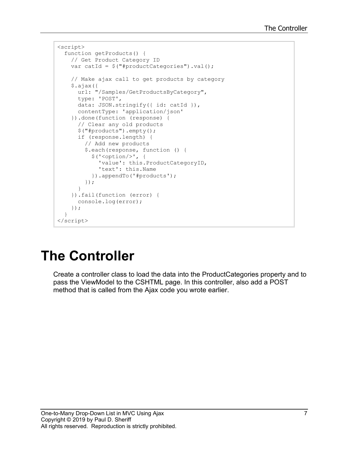```
<script>
  function getProducts() {
     // Get Product Category ID
     var catId = $("#productCategories").val();
     // Make ajax call to get products by category
     $.ajax({
       url: "/Samples/GetProductsByCategory",
       type: 'POST',
      data: JSON.stringify({ id: catId }),
       contentType: 'application/json'
     }).done(function (response) {
       // Clear any old products
       $("#products").empty();
       if (response.length) {
         // Add new products
         $.each(response, function () {
           $('<option/>', {
             'value': this.ProductCategoryID,
             'text': this.Name
           }).appendTo('#products');
         });
       }
     }).fail(function (error) {
       console.log(error);
     });
   }
</script>
```
## **The Controller**

Create a controller class to load the data into the ProductCategories property and to pass the ViewModel to the CSHTML page. In this controller, also add a POST method that is called from the Ajax code you wrote earlier.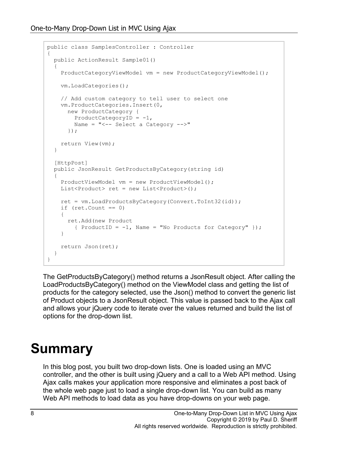```
public class SamplesController : Controller
{
   public ActionResult Sample01()
\{ ProductCategoryViewModel vm = new ProductCategoryViewModel();
     vm.LoadCategories();
     // Add custom category to tell user to select one
     vm.ProductCategories.Insert(0,
       new ProductCategory { 
       ProductCategoryID = -1,
        Name = "<-- Select a Category -->" 
       });
     return View(vm);
   }
   [HttpPost]
  public JsonResult GetProductsByCategory(string id)
\{ ProductViewModel vm = new ProductViewModel();
    List<Product> ret = new List<Product>();
     ret = vm.LoadProductsByCategory(Convert.ToInt32(id));
    if (\text{ret.Count} == 0) {
       ret.Add(new Product 
        { ProductID = -1, Name = "No Products for Category" });
     }
     return Json(ret);
   }
}
```
The GetProductsByCategory() method returns a JsonResult object. After calling the LoadProductsByCategory() method on the ViewModel class and getting the list of products for the category selected, use the Json() method to convert the generic list of Product objects to a JsonResult object. This value is passed back to the Ajax call and allows your jQuery code to iterate over the values returned and build the list of options for the drop-down list.

### **Summary**

In this blog post, you built two drop-down lists. One is loaded using an MVC controller, and the other is built using jQuery and a call to a Web API method. Using Ajax calls makes your application more responsive and eliminates a post back of the whole web page just to load a single drop-down list. You can build as many Web API methods to load data as you have drop-downs on your web page.